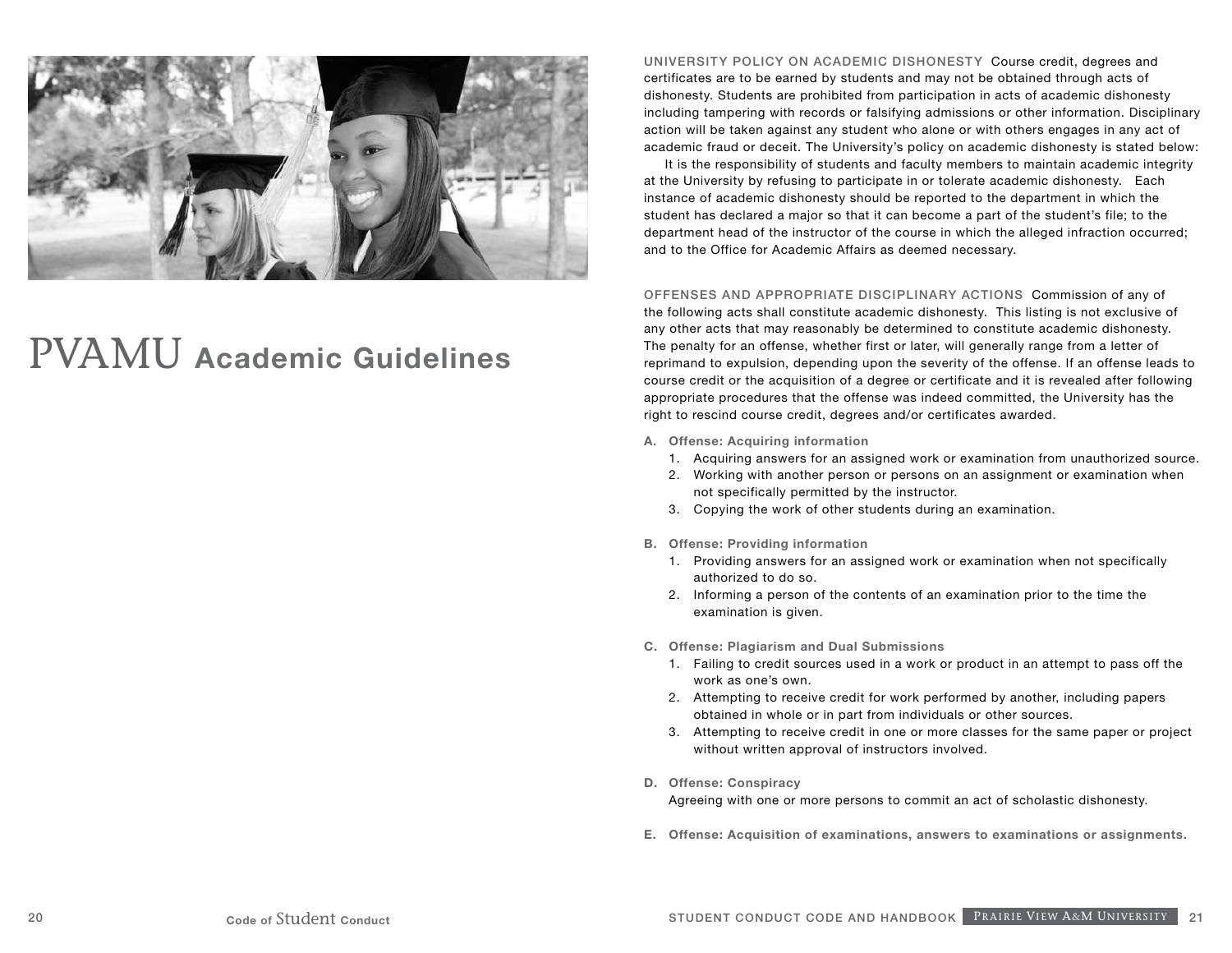

## PVAMU **Academic Guidelines**

UNIVERSITY POLICY ON ACADEMIC DISHONESTYCourse credit, degrees and certificates are to be earned by students and may not be obtained through acts of dishonesty. Students are prohibited from participation in acts of academic dishonesty including tampering with records or falsifying admissions or other information. Disciplinary action will be taken against any student who alone or with others engages in any act of academic fraud or deceit. The University's policy on academic dishonesty is stated below:

It is the responsibility of students and faculty members to maintain academic integrity at the University by refusing to participate in or tolerate academic dishonesty. Each instance of academic dishonesty should be reported to the department in which the student has declared a major so that it can become a part of the student's file; to the department head of the instructor of the course in which the alleged infraction occurred; and to the Office for Academic Affairs as deemed necessary.

OFFENSES AND APPROPRIATE DISCIPLINARY ACTIONSCommission of any of the following acts shall constitute academic dishonesty. This listing is not exclusive of any other acts that may reasonably be determined to constitute academic dishonesty. The penalty for an offense, whether first or later, will generally range from a letter of reprimand to expulsion, depending upon the severity of the offense. If an offense leads to course credit or the acquisition of a degree or certificate and it is revealed after following appropriate procedures that the offense was indeed committed, the University has the right to rescind course credit, degrees and/or certificates awarded.

- **A. Offense: Acquiring information**
	- 1. Acquiring answers for an assigned work or examination from unauthorized source.
	- 2. Working with another person or persons on an assignment or examination when not specifically permitted by the instructor.
	- 3. Copying the work of other students during an examination.
- **B. Offense: Providing information**
	- 1. Providing answers for an assigned work or examination when not specifically authorized to do so.
	- 2. Informing a person of the contents of an examination prior to the time the examination is given.
- **C. Offense: Plagiarism and Dual Submissions**
	- 1. Failing to credit sources used in a work or product in an attempt to pass off the work as one's own.
	- 2. Attempting to receive credit for work performed by another, including papers obtained in whole or in part from individuals or other sources.
	- 3. Attempting to receive credit in one or more classes for the same paper or project without written approval of instructors involved.
- **D. Offense: Conspiracy**

Agreeing with one or more persons to commit an act of scholastic dishonesty.

**E. Offense: Acquisition of examinations, answers to examinations or assignments.**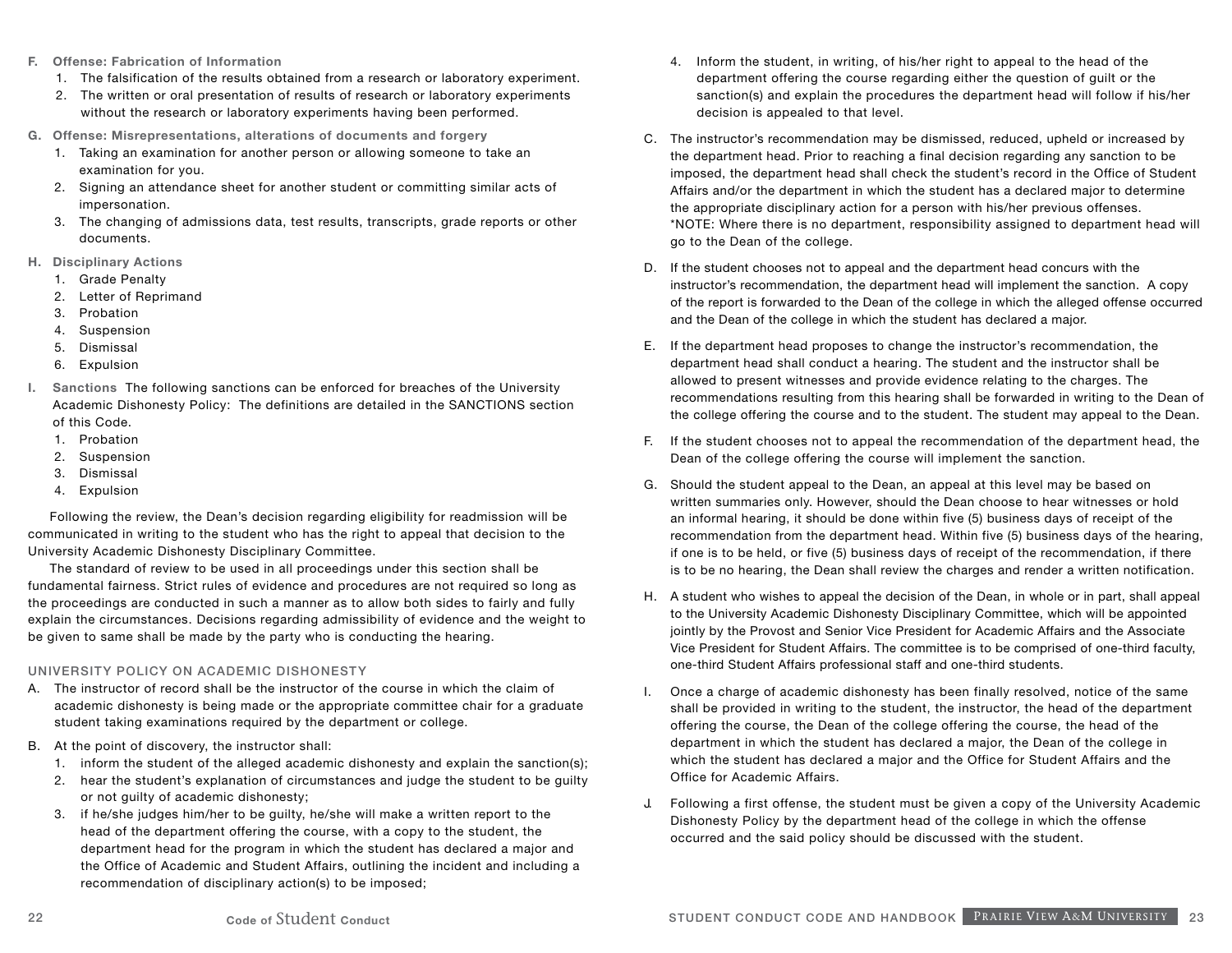- **F. Offense: Fabrication of Information**
	- 1. The falsification of the results obtained from a research or laboratory experiment.
	- 2. The written or oral presentation of results of research or laboratory experiments without the research or laboratory experiments having been performed.
- **G. Offense: Misrepresentations, alterations of documents and forgery**
	- 1. Taking an examination for another person or allowing someone to take an examination for you.
	- 2. Signing an attendance sheet for another student or committing similar acts of impersonation.
	- 3. The changing of admissions data, test results, transcripts, grade reports or other documents.
- **H. Disciplinary Actions**
	- 1. Grade Penalty
	- 2. Letter of Reprimand
	- 3. Probation
	- 4. Suspension
	- 5. Dismissal
	- 6. Expulsion
- **I. Sanctions** The following sanctions can be enforced for breaches of the University Academic Dishonesty Policy: The definitions are detailed in the SANCTIONS section of this Code.
	- 1. Probation
	- 2. Suspension
	- 3. Dismissal
	- 4. Expulsion

Following the review, the Dean's decision regarding eligibility for readmission will be communicated in writing to the student who has the right to appeal that decision to the University Academic Dishonesty Disciplinary Committee.

The standard of review to be used in all proceedings under this section shall be fundamental fairness. Strict rules of evidence and procedures are not required so long as the proceedings are conducted in such a manner as to allow both sides to fairly and fully explain the circumstances. Decisions regarding admissibility of evidence and the weight to be given to same shall be made by the party who is conducting the hearing.

## UNIVERSITY POLICY ON ACADEMIC DISHONESTY

- A. The instructor of record shall be the instructor of the course in which the claim of academic dishonesty is being made or the appropriate committee chair for a graduate student taking examinations required by the department or college.
- B. At the point of discovery, the instructor shall:
	- 1. inform the student of the alleged academic dishonesty and explain the sanction(s);
	- 2. hear the student's explanation of circumstances and judge the student to be guilty or not guilty of academic dishonesty;
	- 3. if he/she judges him/her to be guilty, he/she will make a written report to the head of the department offering the course, with a copy to the student, the department head for the program in which the student has declared a major and the Office of Academic and Student Affairs, outlining the incident and including a recommendation of disciplinary action(s) to be imposed;
- 4. Inform the student, in writing, of his/her right to appeal to the head of the department offering the course regarding either the question of guilt or the sanction(s) and explain the procedures the department head will follow if his/her decision is appealed to that level.
- C. The instructor's recommendation may be dismissed, reduced, upheld or increased by the department head. Prior to reaching a final decision regarding any sanction to be imposed, the department head shall check the student's record in the Office of Student Affairs and/or the department in which the student has a declared major to determine the appropriate disciplinary action for a person with his/her previous offenses. \*NOTE: Where there is no department, responsibility assigned to department head will go to the Dean of the college.
- D. If the student chooses not to appeal and the department head concurs with the instructor's recommendation, the department head will implement the sanction. A copy of the report is forwarded to the Dean of the college in which the alleged offense occurred and the Dean of the college in which the student has declared a major.
- E. If the department head proposes to change the instructor's recommendation, the department head shall conduct a hearing. The student and the instructor shall be allowed to present witnesses and provide evidence relating to the charges. The recommendations resulting from this hearing shall be forwarded in writing to the Dean of the college offering the course and to the student. The student may appeal to the Dean.
- F. If the student chooses not to appeal the recommendation of the department head, the Dean of the college offering the course will implement the sanction.
- G. Should the student appeal to the Dean, an appeal at this level may be based on written summaries only. However, should the Dean choose to hear witnesses or hold an informal hearing, it should be done within five (5) business days of receipt of the recommendation from the department head. Within five (5) business days of the hearing, if one is to be held, or five (5) business days of receipt of the recommendation, if there is to be no hearing, the Dean shall review the charges and render a written notification.
- H. A student who wishes to appeal the decision of the Dean, in whole or in part, shall appeal to the University Academic Dishonesty Disciplinary Committee, which will be appointed jointly by the Provost and Senior Vice President for Academic Affairs and the Associate Vice President for Student Affairs. The committee is to be comprised of one-third faculty, one-third Student Affairs professional staff and one-third students.
- I. Once a charge of academic dishonesty has been finally resolved, notice of the same shall be provided in writing to the student, the instructor, the head of the department offering the course, the Dean of the college offering the course, the head of the department in which the student has declared a major, the Dean of the college in which the student has declared a major and the Office for Student Affairs and the Office for Academic Affairs.
- J. Following a first offense, the student must be given a copy of the University Academic Dishonesty Policy by the department head of the college in which the offense occurred and the said policy should be discussed with the student.